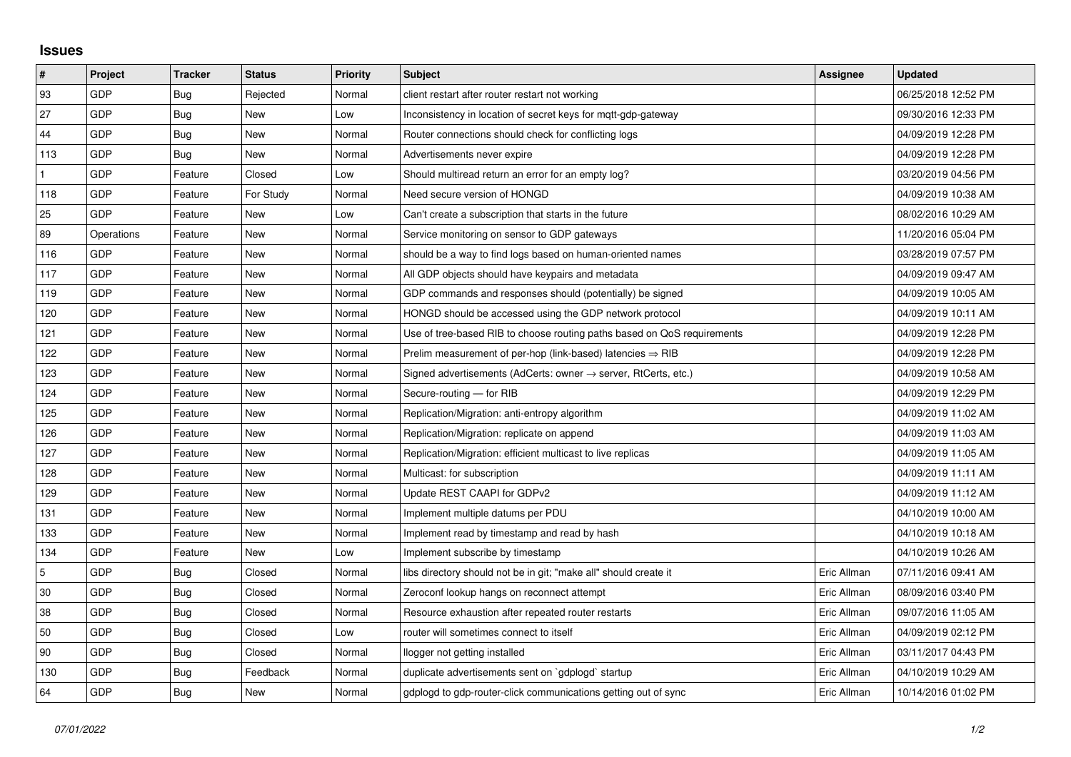## **Issues**

| #   | Project    | <b>Tracker</b> | <b>Status</b> | <b>Priority</b> | <b>Subject</b>                                                             | <b>Assignee</b> | <b>Updated</b>      |
|-----|------------|----------------|---------------|-----------------|----------------------------------------------------------------------------|-----------------|---------------------|
| 93  | GDP        | Bug            | Rejected      | Normal          | client restart after router restart not working                            |                 | 06/25/2018 12:52 PM |
| 27  | GDP        | <b>Bug</b>     | <b>New</b>    | Low             | Inconsistency in location of secret keys for mqtt-gdp-gateway              |                 | 09/30/2016 12:33 PM |
| 44  | GDP        | Bug            | New           | Normal          | Router connections should check for conflicting logs                       |                 | 04/09/2019 12:28 PM |
| 113 | GDP        | Bug            | <b>New</b>    | Normal          | Advertisements never expire                                                |                 | 04/09/2019 12:28 PM |
| 1   | GDP        | Feature        | Closed        | Low             | Should multiread return an error for an empty log?                         |                 | 03/20/2019 04:56 PM |
| 118 | GDP        | Feature        | For Study     | Normal          | Need secure version of HONGD                                               |                 | 04/09/2019 10:38 AM |
| 25  | GDP        | Feature        | <b>New</b>    | Low             | Can't create a subscription that starts in the future                      |                 | 08/02/2016 10:29 AM |
| 89  | Operations | Feature        | <b>New</b>    | Normal          | Service monitoring on sensor to GDP gateways                               |                 | 11/20/2016 05:04 PM |
| 116 | GDP        | Feature        | New           | Normal          | should be a way to find logs based on human-oriented names                 |                 | 03/28/2019 07:57 PM |
| 117 | GDP        | Feature        | <b>New</b>    | Normal          | All GDP objects should have keypairs and metadata                          |                 | 04/09/2019 09:47 AM |
| 119 | GDP        | Feature        | <b>New</b>    | Normal          | GDP commands and responses should (potentially) be signed                  |                 | 04/09/2019 10:05 AM |
| 120 | GDP        | Feature        | New           | Normal          | HONGD should be accessed using the GDP network protocol                    |                 | 04/09/2019 10:11 AM |
| 121 | GDP        | Feature        | <b>New</b>    | Normal          | Use of tree-based RIB to choose routing paths based on QoS requirements    |                 | 04/09/2019 12:28 PM |
| 122 | GDP        | Feature        | New           | Normal          | Prelim measurement of per-hop (link-based) latencies $\Rightarrow$ RIB     |                 | 04/09/2019 12:28 PM |
| 123 | GDP        | Feature        | <b>New</b>    | Normal          | Signed advertisements (AdCerts: owner $\rightarrow$ server, RtCerts, etc.) |                 | 04/09/2019 10:58 AM |
| 124 | GDP        | Feature        | <b>New</b>    | Normal          | Secure-routing - for RIB                                                   |                 | 04/09/2019 12:29 PM |
| 125 | GDP        | Feature        | New           | Normal          | Replication/Migration: anti-entropy algorithm                              |                 | 04/09/2019 11:02 AM |
| 126 | GDP        | Feature        | New           | Normal          | Replication/Migration: replicate on append                                 |                 | 04/09/2019 11:03 AM |
| 127 | GDP        | Feature        | <b>New</b>    | Normal          | Replication/Migration: efficient multicast to live replicas                |                 | 04/09/2019 11:05 AM |
| 128 | GDP        | Feature        | New           | Normal          | Multicast: for subscription                                                |                 | 04/09/2019 11:11 AM |
| 129 | GDP        | Feature        | New           | Normal          | Update REST CAAPI for GDPv2                                                |                 | 04/09/2019 11:12 AM |
| 131 | GDP        | Feature        | <b>New</b>    | Normal          | Implement multiple datums per PDU                                          |                 | 04/10/2019 10:00 AM |
| 133 | GDP        | Feature        | New           | Normal          | Implement read by timestamp and read by hash                               |                 | 04/10/2019 10:18 AM |
| 134 | GDP        | Feature        | <b>New</b>    | Low             | Implement subscribe by timestamp                                           |                 | 04/10/2019 10:26 AM |
| 5   | GDP        | Bug            | Closed        | Normal          | libs directory should not be in git; "make all" should create it           | Eric Allman     | 07/11/2016 09:41 AM |
| 30  | GDP        | Bug            | Closed        | Normal          | Zeroconf lookup hangs on reconnect attempt                                 | Eric Allman     | 08/09/2016 03:40 PM |
| 38  | GDP        | Bug            | Closed        | Normal          | Resource exhaustion after repeated router restarts                         | Eric Allman     | 09/07/2016 11:05 AM |
| 50  | GDP        | Bug            | Closed        | Low             | router will sometimes connect to itself                                    | Eric Allman     | 04/09/2019 02:12 PM |
| 90  | GDP        | Bug            | Closed        | Normal          | llogger not getting installed                                              | Eric Allman     | 03/11/2017 04:43 PM |
| 130 | GDP        | Bug            | Feedback      | Normal          | duplicate advertisements sent on `gdplogd` startup                         | Eric Allman     | 04/10/2019 10:29 AM |
| 64  | GDP        | <b>Bug</b>     | New           | Normal          | gdplogd to gdp-router-click communications getting out of sync             | Eric Allman     | 10/14/2016 01:02 PM |